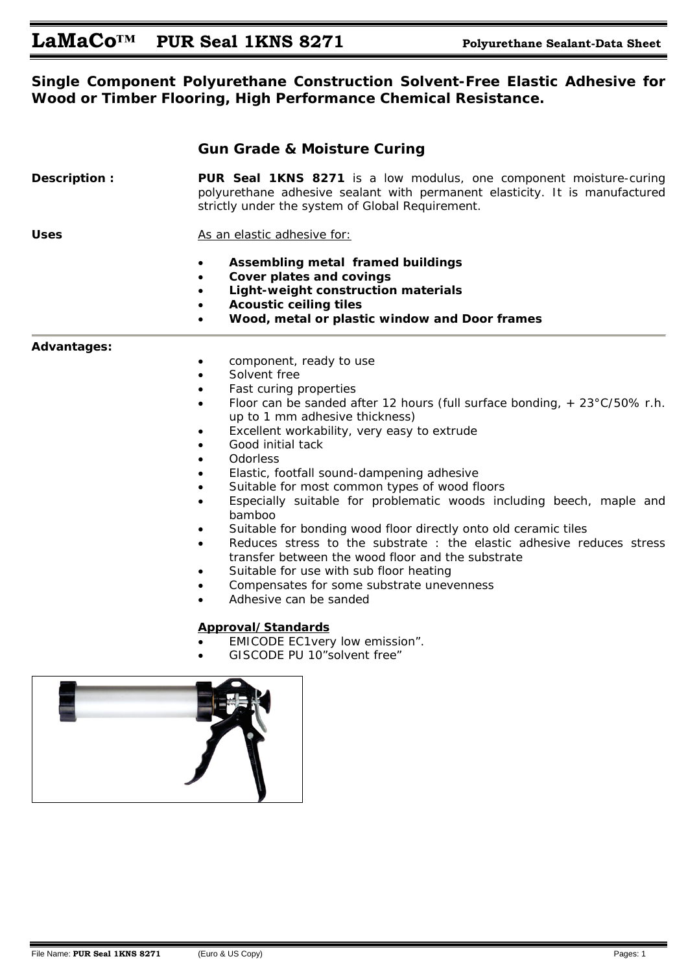### **Single Component Polyurethane Construction Solvent-Free Elastic Adhesive for Wood or Timber Flooring, High Performance Chemical Resistance.**

|                    | <b>Gun Grade &amp; Moisture Curing</b>                                                                                                                                                                                                                                                                                                                                                                                                                                                |  |
|--------------------|---------------------------------------------------------------------------------------------------------------------------------------------------------------------------------------------------------------------------------------------------------------------------------------------------------------------------------------------------------------------------------------------------------------------------------------------------------------------------------------|--|
| Description:       | <b>PUR Seal 1KNS 8271</b> is a low modulus, one component moisture-curing<br>polyurethane adhesive sealant with permanent elasticity. It is manufactured<br>strictly under the system of Global Requirement.                                                                                                                                                                                                                                                                          |  |
| Uses               | As an elastic adhesive for:                                                                                                                                                                                                                                                                                                                                                                                                                                                           |  |
|                    | Assembling metal framed buildings<br>Cover plates and covings<br>$\bullet$<br>Light-weight construction materials<br><b>Acoustic ceiling tiles</b><br>Wood, metal or plastic window and Door frames                                                                                                                                                                                                                                                                                   |  |
| <b>Advantages:</b> | component, ready to use<br>$\bullet$<br>Solvent free<br>Fast curing properties<br>Floor can be sanded after 12 hours (full surface bonding, $+ 23^{\circ}$ C/50% r.h.<br>$\bullet$<br>up to 1 mm adhesive thickness)<br>Excellent workability, very easy to extrude<br>Good initial tack<br>Odorless<br>Elastic, footfall sound-dampening adhesive<br>Suitable for most common types of wood floors<br>Especially suitable for problematic woods including beech, maple and<br>bamboo |  |

- Suitable for bonding wood floor directly onto old ceramic tiles
- Reduces stress to the substrate : the elastic adhesive reduces stress transfer between the wood floor and the substrate
- Suitable for use with sub floor heating
- Compensates for some substrate unevenness
- Adhesive can be sanded

### **Approval/Standards**

- EMICODE EC1very low emission".
- GISCODE PU 10"solvent free"

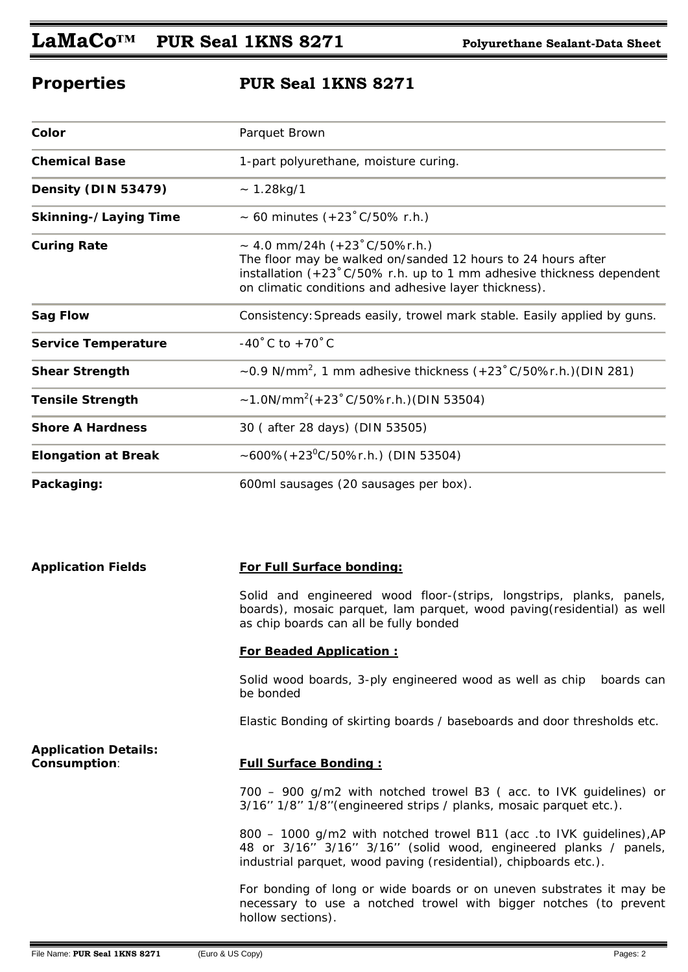# **LaMaCo™ PUR Seal 1KNS 8271 Polyurethane Sealant-Data Sheet**

# **Properties PUR Seal 1KNS 8271**

| Color                        | Parquet Brown                                                                                                                                                                                                                                         |
|------------------------------|-------------------------------------------------------------------------------------------------------------------------------------------------------------------------------------------------------------------------------------------------------|
| <b>Chemical Base</b>         | 1-part polyurethane, moisture curing.                                                                                                                                                                                                                 |
| Density (DIN 53479)          | $~1.28$ kg/1                                                                                                                                                                                                                                          |
| <b>Skinning-/Laying Time</b> | ~ 60 minutes $(+23 \degree C/50\% \text{ r.h.})$                                                                                                                                                                                                      |
| <b>Curing Rate</b>           | $\sim$ 4.0 mm/24h (+23°C/50%r.h.)<br>The floor may be walked on/sanded 12 hours to 24 hours after<br>installation $(+23 \degree C/50\% \text{ r.h.}$ up to 1 mm adhesive thickness dependent<br>on climatic conditions and adhesive layer thickness). |
| <b>Sag Flow</b>              | Consistency: Spreads easily, trowel mark stable. Easily applied by guns.                                                                                                                                                                              |
| <b>Service Temperature</b>   | -40 $^{\circ}$ C to +70 $^{\circ}$ C                                                                                                                                                                                                                  |
| <b>Shear Strength</b>        | $\sim$ 0.9 N/mm <sup>2</sup> , 1 mm adhesive thickness (+23 °C/50%r.h.)(DIN 281)                                                                                                                                                                      |
| <b>Tensile Strength</b>      | $\sim$ 1.0N/mm <sup>2</sup> (+23 ° C/50%r.h.)(DIN 53504)                                                                                                                                                                                              |
| <b>Shore A Hardness</b>      | 30 (after 28 days) (DIN 53505)                                                                                                                                                                                                                        |
| <b>Elongation at Break</b>   | ~600%(+23 <sup>o</sup> C/50%r.h.) (DIN 53504)                                                                                                                                                                                                         |
| Packaging:                   | 600ml sausages (20 sausages per box).                                                                                                                                                                                                                 |

| <b>Application Fields</b>                   | For Full Surface bonding:                                                                                                                                                                                    |
|---------------------------------------------|--------------------------------------------------------------------------------------------------------------------------------------------------------------------------------------------------------------|
|                                             | Solid and engineered wood floor-(strips, longstrips, planks, panels,<br>boards), mosaic parquet, lam parquet, wood paving (residential) as well<br>as chip boards can all be fully bonded                    |
|                                             | <b>For Beaded Application:</b>                                                                                                                                                                               |
|                                             | Solid wood boards, 3-ply engineered wood as well as chip<br>boards can<br>be bonded                                                                                                                          |
|                                             | Elastic Bonding of skirting boards / baseboards and door thresholds etc.                                                                                                                                     |
| <b>Application Details:</b><br>Consumption: | <b>Full Surface Bonding:</b>                                                                                                                                                                                 |
|                                             | 700 - 900 g/m2 with notched trowel B3 (acc. to IVK guidelines) or<br>3/16" 1/8" 1/8" (engineered strips / planks, mosaic parquet etc.).                                                                      |
|                                             | 800 - 1000 g/m2 with notched trowel B11 (acc .to IVK guidelines), AP<br>48 or 3/16" 3/16" 3/16" (solid wood, engineered planks / panels,<br>industrial parquet, wood paving (residential), chipboards etc.). |
|                                             | For bonding of long or wide boards or on uneven substrates it may be<br>necessary to use a notched trowel with bigger notches (to prevent<br>hollow sections).                                               |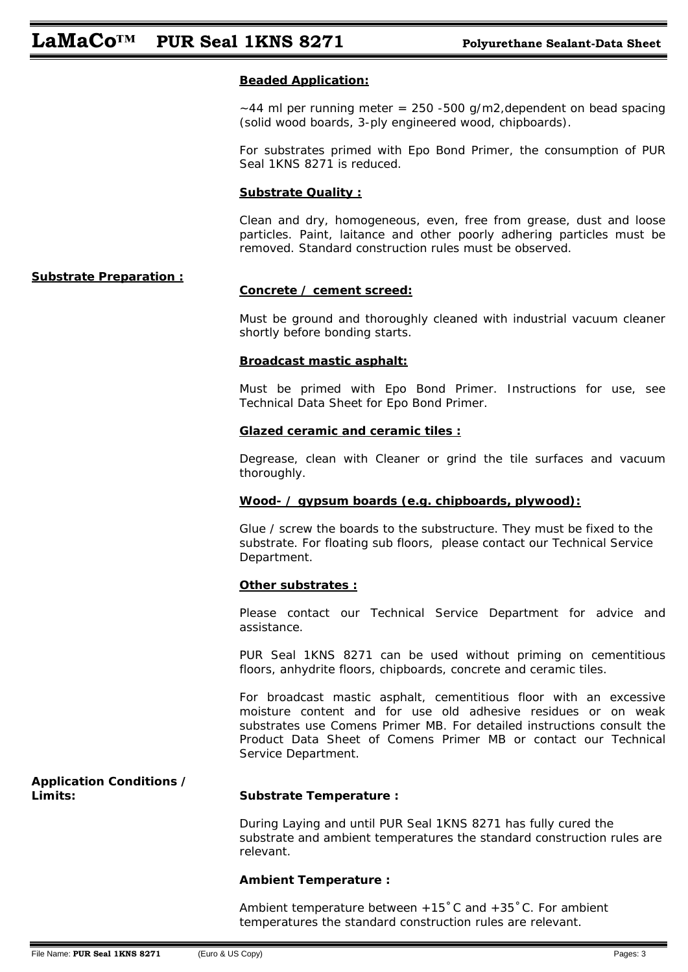### **Beaded Application:**

 $\sim$  44 ml per running meter = 250 -500 g/m2, dependent on bead spacing (solid wood boards, 3-ply engineered wood, chipboards).

For substrates primed with Epo Bond Primer, the consumption of PUR Seal 1KNS 8271 is reduced.

### **Substrate Quality :**

Clean and dry, homogeneous, even, free from grease, dust and loose particles. Paint, laitance and other poorly adhering particles must be removed. Standard construction rules must be observed.

### **Substrate Preparation :**

### **Concrete / cement screed:**

Must be ground and thoroughly cleaned with industrial vacuum cleaner shortly before bonding starts.

### **Broadcast mastic asphalt:**

Must be primed with Epo Bond Primer. Instructions for use, see Technical Data Sheet for Epo Bond Primer.

### **Glazed ceramic and ceramic tiles :**

Degrease, clean with Cleaner or grind the tile surfaces and vacuum thoroughly.

### **Wood- / gypsum boards (e.g. chipboards, plywood):**

Glue / screw the boards to the substructure. They must be fixed to the substrate. For floating sub floors, please contact our Technical Service Department.

### **Other substrates :**

Please contact our Technical Service Department for advice and assistance.

PUR Seal 1KNS 8271 can be used without priming on cementitious floors, anhydrite floors, chipboards, concrete and ceramic tiles.

For broadcast mastic asphalt, cementitious floor with an excessive moisture content and for use old adhesive residues or on weak substrates use Comens Primer MB. For detailed instructions consult the Product Data Sheet of Comens Primer MB or contact our Technical Service Department.

# **Application Conditions /**

### **Limits: Substrate Temperature :**

During Laying and until PUR Seal 1KNS 8271 has fully cured the substrate and ambient temperatures the standard construction rules are relevant.

### **Ambient Temperature :**

Ambient temperature between +15˚C and +35˚C. For ambient temperatures the standard construction rules are relevant.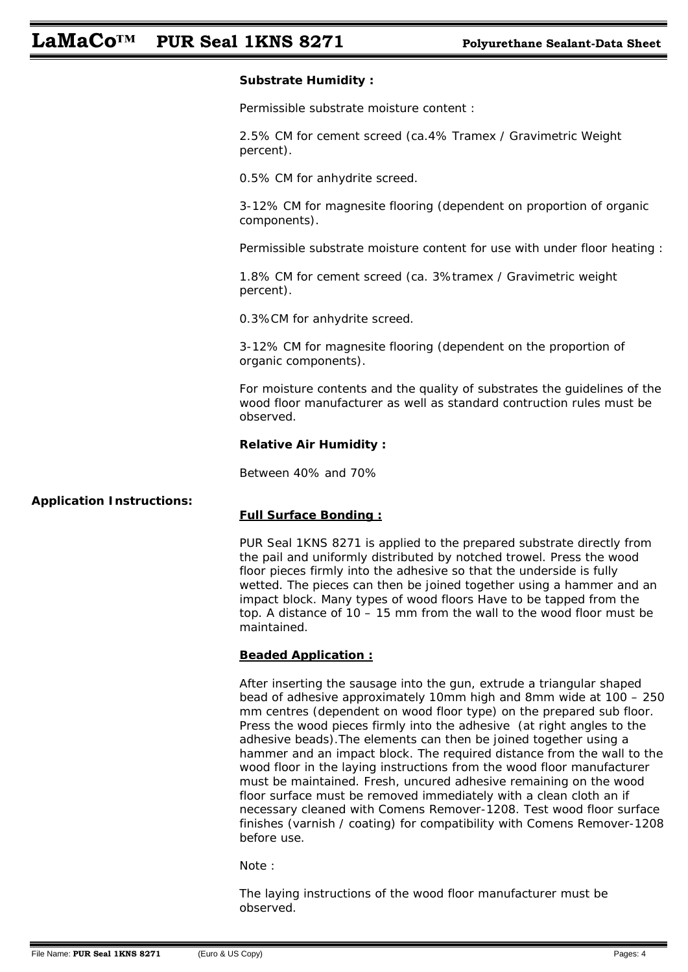## **LaMaCo™ PUR Seal 1KNS 8271 Polyurethane Sealant-Data Sheet**

### **Substrate Humidity :**

Permissible substrate moisture content :

2.5% CM for cement screed (ca.4% Tramex / Gravimetric Weight percent).

0.5% CM for anhydrite screed.

3-12% CM for magnesite flooring (dependent on proportion of organic components).

Permissible substrate moisture content for use with under floor heating :

1.8% CM for cement screed (ca. 3%tramex / Gravimetric weight percent).

0.3%CM for anhydrite screed.

3-12% CM for magnesite flooring (dependent on the proportion of organic components).

For moisture contents and the quality of substrates the guidelines of the wood floor manufacturer as well as standard contruction rules must be observed.

### **Relative Air Humidity :**

Between 40% and 70%

### **Application Instructions:**

### **Full Surface Bonding :**

PUR Seal 1KNS 8271 is applied to the prepared substrate directly from the pail and uniformly distributed by notched trowel. Press the wood floor pieces firmly into the adhesive so that the underside is fully wetted. The pieces can then be joined together using a hammer and an impact block. Many types of wood floors Have to be tapped from the top. A distance of 10 – 15 mm from the wall to the wood floor must be maintained.

### **Beaded Application :**

After inserting the sausage into the gun, extrude a triangular shaped bead of adhesive approximately 10mm high and 8mm wide at 100 – 250 mm centres (dependent on wood floor type) on the prepared sub floor. Press the wood pieces firmly into the adhesive (at right angles to the adhesive beads).The elements can then be joined together using a hammer and an impact block. The required distance from the wall to the wood floor in the laying instructions from the wood floor manufacturer must be maintained. Fresh, uncured adhesive remaining on the wood floor surface must be removed immediately with a clean cloth an if necessary cleaned with Comens Remover-1208. Test wood floor surface finishes (varnish / coating) for compatibility with Comens Remover-1208 before use.

Note :

The laying instructions of the wood floor manufacturer must be observed.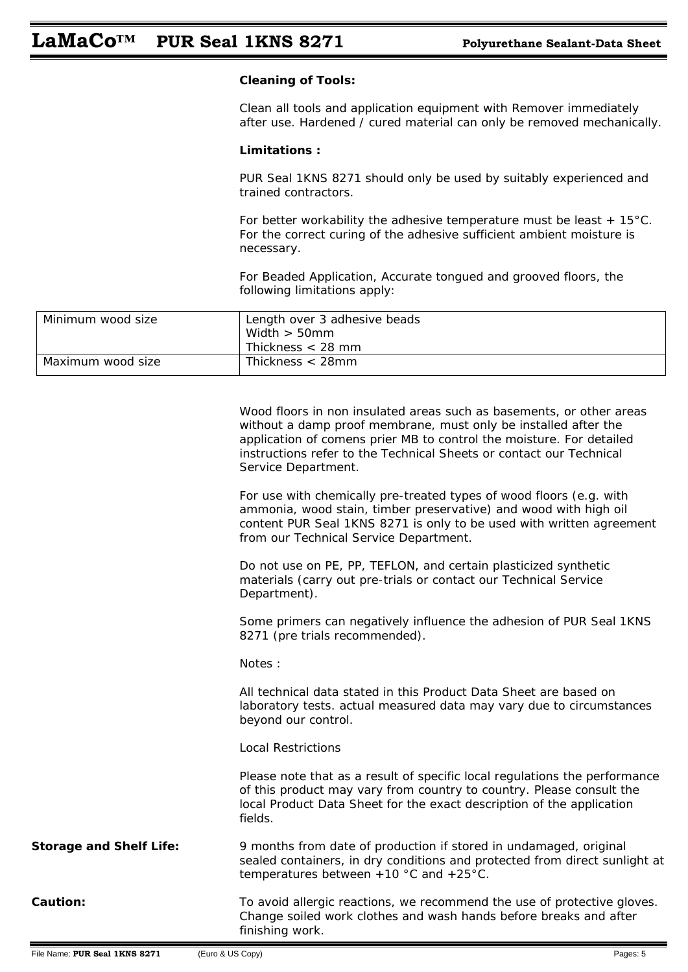### **Cleaning of Tools:**

Clean all tools and application equipment with Remover immediately after use. Hardened / cured material can only be removed mechanically.

### **Limitations :**

PUR Seal 1KNS 8271 should only be used by suitably experienced and trained contractors.

For better workability the adhesive temperature must be least  $+15^{\circ}$ C. For the correct curing of the adhesive sufficient ambient moisture is necessary.

For Beaded Application, Accurate tongued and grooved floors, the following limitations apply:

| Minimum wood size | Length over 3 adhesive beads |
|-------------------|------------------------------|
|                   | Width $>$ 50mm               |
|                   | Thickness $<$ 28 mm          |
| Maximum wood size | Thickness $<$ 28mm           |

|                                | Wood floors in non insulated areas such as basements, or other areas<br>without a damp proof membrane, must only be installed after the<br>application of comens prier MB to control the moisture. For detailed<br>instructions refer to the Technical Sheets or contact our Technical<br>Service Department. |
|--------------------------------|---------------------------------------------------------------------------------------------------------------------------------------------------------------------------------------------------------------------------------------------------------------------------------------------------------------|
|                                | For use with chemically pre-treated types of wood floors (e.g. with<br>ammonia, wood stain, timber preservative) and wood with high oil<br>content PUR Seal 1KNS 8271 is only to be used with written agreement<br>from our Technical Service Department.                                                     |
|                                | Do not use on PE, PP, TEFLON, and certain plasticized synthetic<br>materials (carry out pre-trials or contact our Technical Service<br>Department).                                                                                                                                                           |
|                                | Some primers can negatively influence the adhesion of PUR Seal 1KNS<br>8271 (pre trials recommended).                                                                                                                                                                                                         |
|                                | Notes:                                                                                                                                                                                                                                                                                                        |
|                                | All technical data stated in this Product Data Sheet are based on<br>laboratory tests. actual measured data may vary due to circumstances<br>beyond our control.                                                                                                                                              |
|                                | <b>Local Restrictions</b>                                                                                                                                                                                                                                                                                     |
|                                | Please note that as a result of specific local regulations the performance<br>of this product may vary from country to country. Please consult the<br>local Product Data Sheet for the exact description of the application<br>fields.                                                                        |
| <b>Storage and Shelf Life:</b> | 9 months from date of production if stored in undamaged, original<br>sealed containers, in dry conditions and protected from direct sunlight at<br>temperatures between $+10$ °C and $+25$ °C.                                                                                                                |
| <b>Caution:</b>                | To avoid allergic reactions, we recommend the use of protective gloves.<br>Change soiled work clothes and wash hands before breaks and after<br>finishing work.                                                                                                                                               |